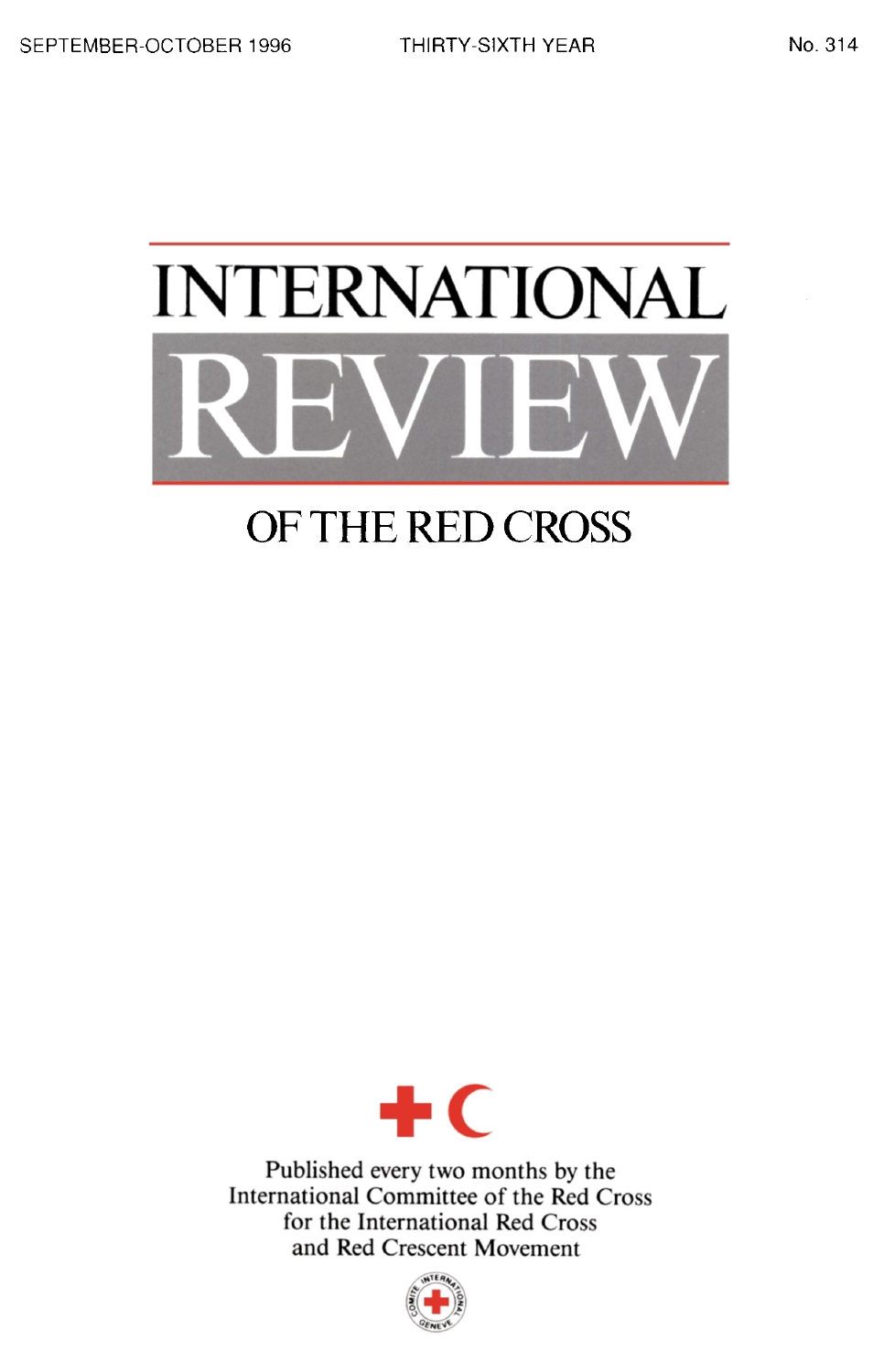# INTERNATIONAL

# OF THE RED CROSS



Published every two months by the International Committee of the Red Cross for the International Red Cross and Red Crescent Movement

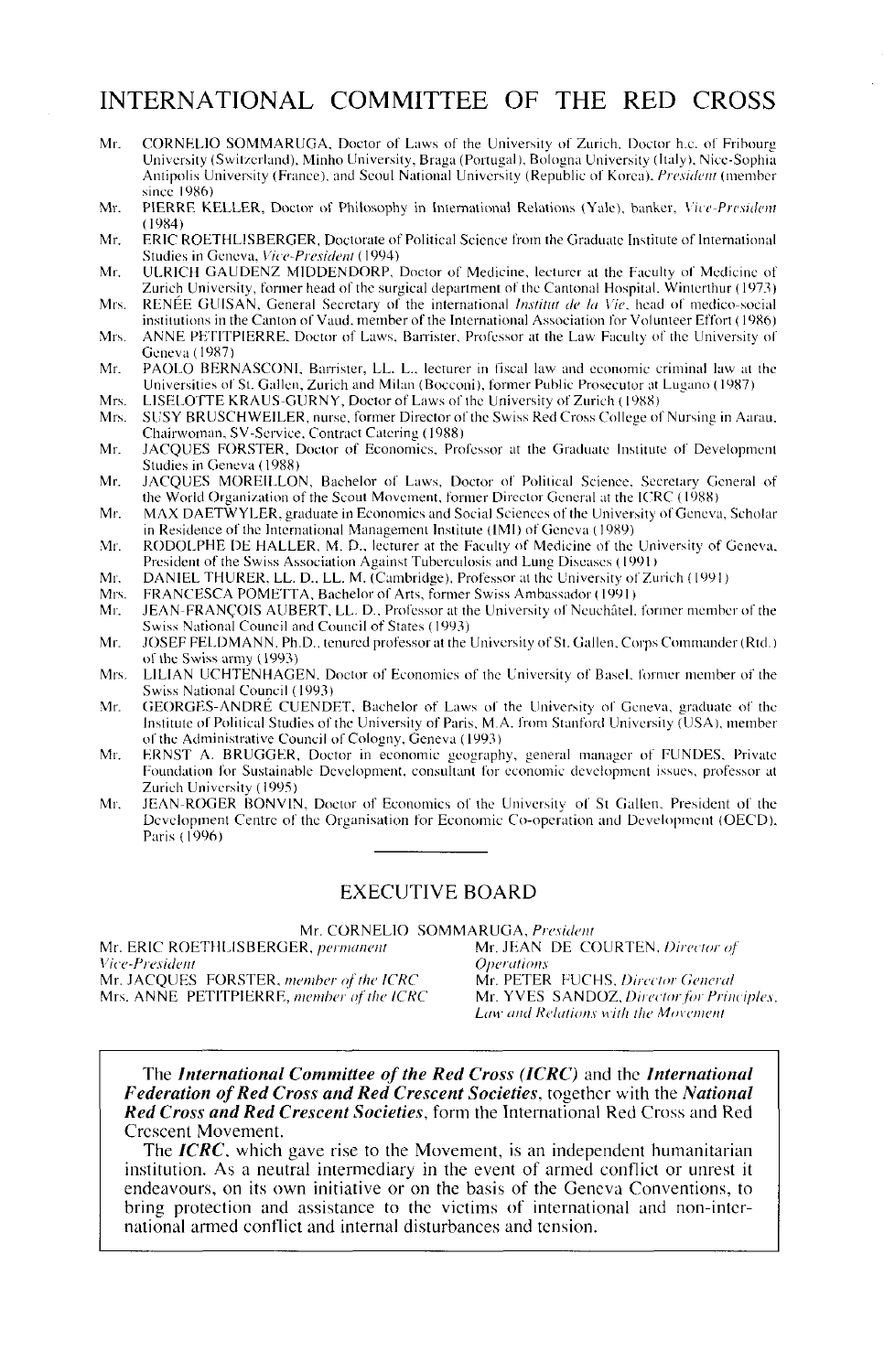# INTERNATIONAL COMMITTEE OF THE RED CROSS

- Mr. CORNELIO SOMMARUGA, Doctor of Laws of the University of Zurich. Doctor h.c. of Fribourg University (Switzerland), Minho University. Braga (Portugal). Bologna University (Italy). Nice-Sophia Antipolis University (France), and Seoul National University (Republic of Korea). *President* (member since 1986)
- Mr. PIERRE KELLER, Doctor of Philosophy in International Relations (Yale), banker. *Vice-President* (19X4)
- Mr. ERIC ROETHLISBERGER, Doctorate of Political Science from the Graduate Institute of International Studies in Geneva. *Vice-President* (1994)
- Mr. ULRICH GAUDENZ MIDDENDORP, Doctor of Medicine, lecturer at the Faculty of Medicine of Zurich University, former head of the surgical department of the Cantonal Hospital. Winterthur (1973) Mrs. RENEE GUISAN. General Secretary of the international *Institui de la Vie,* head of medico-social
- institutions in the Canton of Vaud. member of the International Association for Volunteer Effort (19X6) Mrs. ANNE PETITPIERRE. Doctor of Laws. Banister, Professor at the Lav, Faculty of the University of
- Geneva(1987) Mr. PAOLO BERNASCONI. Barrister, LL. L.. lecturer in fiscal law and economic criminal law at the Universities of St. Gallen, Zurich and Milan (Bocconi). former Public Prosecutor at Lugano (1987)
- Mrs. LISELOTTE KRAUS-GURNY, Doctor of Laws of the University of Zurich (1988)<br>Mrs. SUSY BRUSCHWEILER purse former Director of the Swiss Red Cross College of
- SUSY BRUSCHWEILER, nurse, former Director of the Swiss Red Cross College of Nursing in Aarau. Chairwoman, SV-Service, Contract Catering (1988)
- Mr. JACQUES FORSTER, Doctor of Economics, Professor at the Graduate Institute of Development Studies in Geneva (1988)
- Mr. JACQUES MOREILLON, Bachelor of Laws, Doctor of Political Science. Secretary General of the World Organization of the Scout Movement, former Director General at the ICRC (1988)
- Mr. MAX DAETWYLER. graduate in Economics and Social Sciences *oi* the University of Geneva, Scholar in Residence of the International Management Institute (IMI) of Geneva (1989)
- Mr. RODOLPHE DE HALLER, M. D., lecturer at the Faculty of Medicine of the University of Geneva. President of the Swiss Association Against Tuberculosis and Lung Diseases (1991 )
- Mr. DANIEL THURER. LL. D., LL. M. (Cambridge), Professor at the University of Zurich (1991)
- Mrs. FRANCESCA POMETTA, Bachelor of Arts, former Swiss Ambassador (1991)<br>Mr. JEAN-FRANCOIS AUBERT, LL. D., Professor at the University of Neuchâtel.
- JEAN-FRANCOIS AUBERT, LL. D., Professor at the University of Neuchâtel, former member of the Swiss National Council and Council of States (1993)
- Mr. JOSEF FELDMANN, Ph.D., tenured professor at the University of St. Gallen. Corps Commander (Rtd.) of the Swiss army (1993)
- Mrs. LILIAN UCHTENHAGEN, Doctor of Economics of the University of Basel, former member of the Swiss National Council (1993)
- Mr. GEORGES-ANDRE CUENDET, Bachelor of Laws of the University of Geneva, graduate of the Institute of Political Studies of the University of Paris, M.A. from Stanford University (USA), member of the Administrative Council of Cologny. Geneva (1993)
- Mr. ERNST A. BRUGGER, Doctor in economic geography, general manager of FUNDES. Private Foundation for Sustainable Development, consultant for economic development issues, professor at Zurich University (1995)
- Mr. JEAN-ROGER BONVIN. Doctor of Economics of the University of St Gallen. President of the Development Centre of the Organisation for Economic Co-operation and Development (OECD). Paris (1996)

### EXECUTIVE BOARD

Mr. ERIC ROETHLISBERGER, *permanent* Mr. JEAN<br>Vice-President **Deperations** *Vice-President Operations* Mr. JACQUES FORSTER, *member of the ICRC* Mr. PETER RJCHS. *Directot General* Mrs. ANNE PETITPIERRE, member of the ICRC

Mr. CORNELIO SOMMARUGA, *President Law and Relations with the Movement*

The *International Committee of the Red Cross (ICRC)* and the *International Federation of Red Cross and Red Crescent Societies,* together with the *National Red Cross and Red Crescent Societies,* form the International Red Cross and Red

The *ICRC*, which gave rise to the Movement, is an independent humanitarian institution. As a neutral intermediary in the event of armed conflict or unrest it endeavours, on its own initiative or on the basis of the Geneva Conventions, to bring protection and assistance to the victims of international and non-inter- national armed conflict and internal disturbances and tension.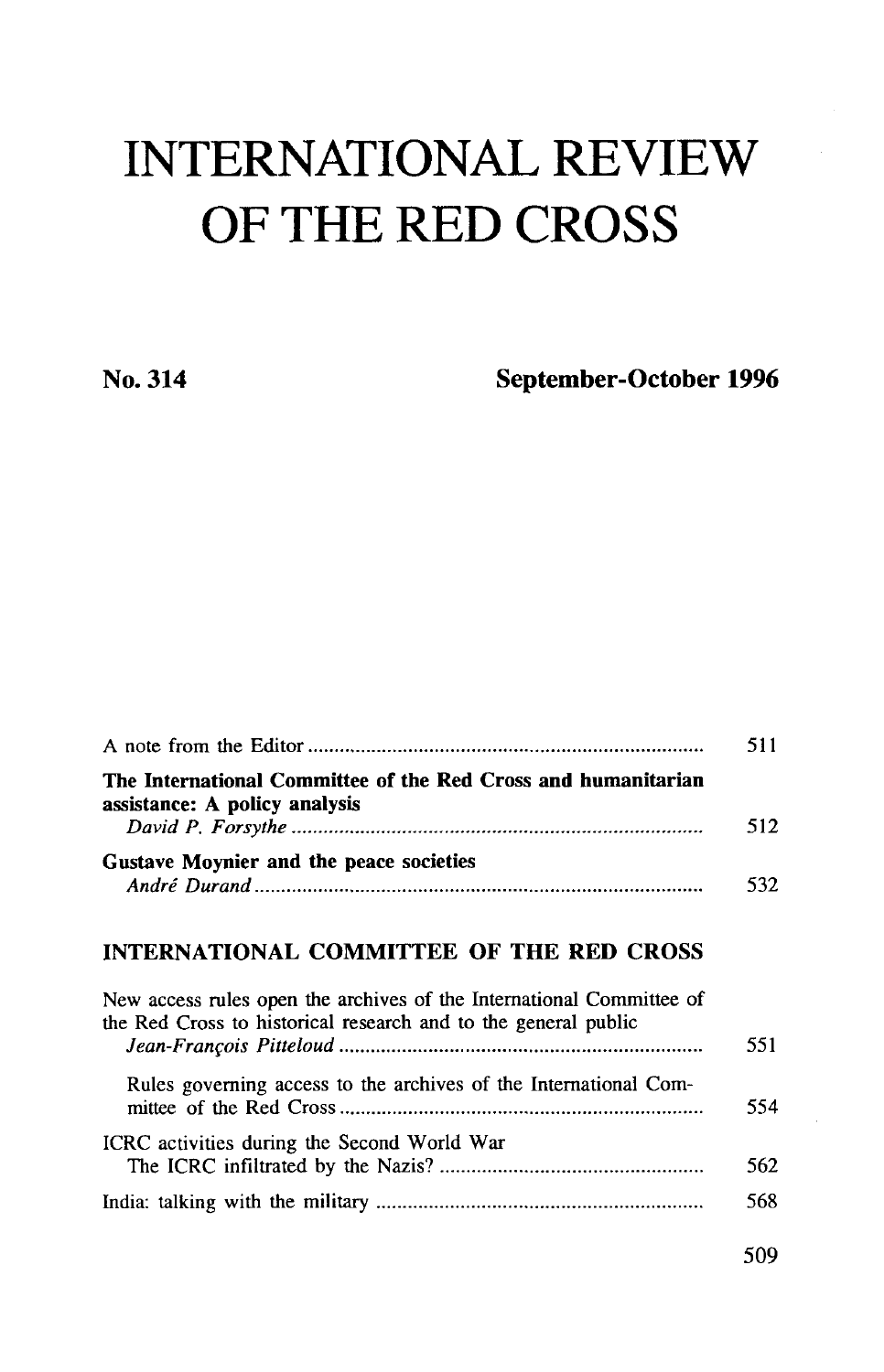# INTERNATIONAL REVIEW OF THE RED CROSS

**No. 314 September-October 1996**

| The International Committee of the Red Cross and humanitarian<br>assistance: A policy analysis                                         | 512 |  |  |  |
|----------------------------------------------------------------------------------------------------------------------------------------|-----|--|--|--|
| Gustave Moynier and the peace societies                                                                                                | 532 |  |  |  |
| INTERNATIONAL COMMITTEE OF THE RED CROSS                                                                                               |     |  |  |  |
| New access rules open the archives of the International Committee of<br>the Red Cross to historical research and to the general public | 551 |  |  |  |
| Rules governing access to the archives of the International Com-                                                                       | 554 |  |  |  |
| ICRC activities during the Second World War                                                                                            | 562 |  |  |  |
|                                                                                                                                        | 568 |  |  |  |

509